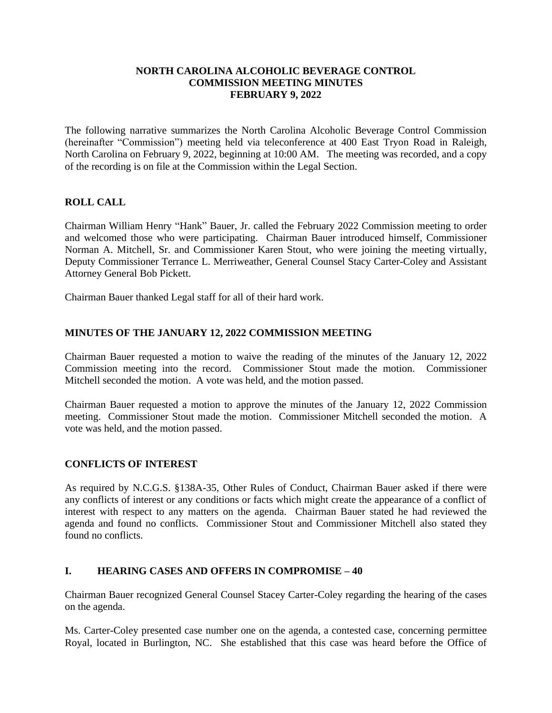#### **NORTH CAROLINA ALCOHOLIC BEVERAGE CONTROL COMMISSION MEETING MINUTES FEBRUARY 9, 2022**

The following narrative summarizes the North Carolina Alcoholic Beverage Control Commission (hereinafter "Commission") meeting held via teleconference at 400 East Tryon Road in Raleigh, North Carolina on February 9, 2022, beginning at 10:00 AM. The meeting was recorded, and a copy of the recording is on file at the Commission within the Legal Section.

# **ROLL CALL**

Chairman William Henry "Hank" Bauer, Jr. called the February 2022 Commission meeting to order and welcomed those who were participating. Chairman Bauer introduced himself, Commissioner Norman A. Mitchell, Sr. and Commissioner Karen Stout, who were joining the meeting virtually, Deputy Commissioner Terrance L. Merriweather, General Counsel Stacy Carter-Coley and Assistant Attorney General Bob Pickett.

Chairman Bauer thanked Legal staff for all of their hard work.

## **MINUTES OF THE JANUARY 12, 2022 COMMISSION MEETING**

Chairman Bauer requested a motion to waive the reading of the minutes of the January 12, 2022 Commission meeting into the record. Commissioner Stout made the motion. Commissioner Mitchell seconded the motion. A vote was held, and the motion passed.

Chairman Bauer requested a motion to approve the minutes of the January 12, 2022 Commission meeting. Commissioner Stout made the motion. Commissioner Mitchell seconded the motion. A vote was held, and the motion passed.

## **CONFLICTS OF INTEREST**

As required by N.C.G.S. §138A-35, Other Rules of Conduct, Chairman Bauer asked if there were any conflicts of interest or any conditions or facts which might create the appearance of a conflict of interest with respect to any matters on the agenda. Chairman Bauer stated he had reviewed the agenda and found no conflicts. Commissioner Stout and Commissioner Mitchell also stated they found no conflicts.

## **I. HEARING CASES AND OFFERS IN COMPROMISE – 40**

Chairman Bauer recognized General Counsel Stacey Carter-Coley regarding the hearing of the cases on the agenda.

Ms. Carter-Coley presented case number one on the agenda, a contested case, concerning permittee Royal, located in Burlington, NC. She established that this case was heard before the Office of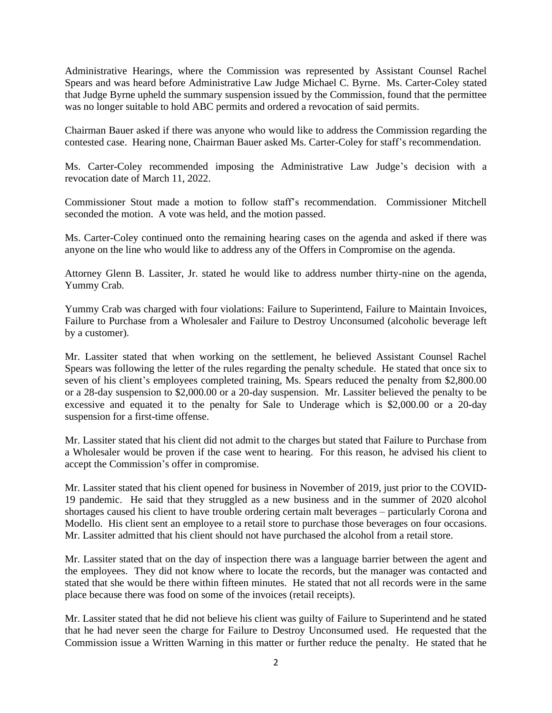Administrative Hearings, where the Commission was represented by Assistant Counsel Rachel Spears and was heard before Administrative Law Judge Michael C. Byrne. Ms. Carter-Coley stated that Judge Byrne upheld the summary suspension issued by the Commission, found that the permittee was no longer suitable to hold ABC permits and ordered a revocation of said permits.

Chairman Bauer asked if there was anyone who would like to address the Commission regarding the contested case. Hearing none, Chairman Bauer asked Ms. Carter-Coley for staff's recommendation.

Ms. Carter-Coley recommended imposing the Administrative Law Judge's decision with a revocation date of March 11, 2022.

Commissioner Stout made a motion to follow staff's recommendation. Commissioner Mitchell seconded the motion. A vote was held, and the motion passed.

Ms. Carter-Coley continued onto the remaining hearing cases on the agenda and asked if there was anyone on the line who would like to address any of the Offers in Compromise on the agenda.

Attorney Glenn B. Lassiter, Jr. stated he would like to address number thirty-nine on the agenda, Yummy Crab.

Yummy Crab was charged with four violations: Failure to Superintend, Failure to Maintain Invoices, Failure to Purchase from a Wholesaler and Failure to Destroy Unconsumed (alcoholic beverage left by a customer).

Mr. Lassiter stated that when working on the settlement, he believed Assistant Counsel Rachel Spears was following the letter of the rules regarding the penalty schedule. He stated that once six to seven of his client's employees completed training, Ms. Spears reduced the penalty from \$2,800.00 or a 28-day suspension to \$2,000.00 or a 20-day suspension. Mr. Lassiter believed the penalty to be excessive and equated it to the penalty for Sale to Underage which is \$2,000.00 or a 20-day suspension for a first-time offense.

Mr. Lassiter stated that his client did not admit to the charges but stated that Failure to Purchase from a Wholesaler would be proven if the case went to hearing. For this reason, he advised his client to accept the Commission's offer in compromise.

Mr. Lassiter stated that his client opened for business in November of 2019, just prior to the COVID-19 pandemic. He said that they struggled as a new business and in the summer of 2020 alcohol shortages caused his client to have trouble ordering certain malt beverages – particularly Corona and Modello. His client sent an employee to a retail store to purchase those beverages on four occasions. Mr. Lassiter admitted that his client should not have purchased the alcohol from a retail store.

Mr. Lassiter stated that on the day of inspection there was a language barrier between the agent and the employees. They did not know where to locate the records, but the manager was contacted and stated that she would be there within fifteen minutes. He stated that not all records were in the same place because there was food on some of the invoices (retail receipts).

Mr. Lassiter stated that he did not believe his client was guilty of Failure to Superintend and he stated that he had never seen the charge for Failure to Destroy Unconsumed used. He requested that the Commission issue a Written Warning in this matter or further reduce the penalty. He stated that he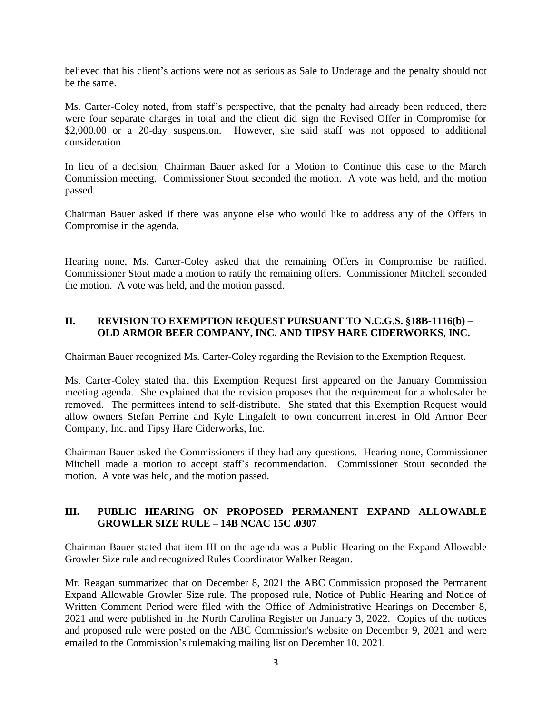believed that his client's actions were not as serious as Sale to Underage and the penalty should not be the same.

Ms. Carter-Coley noted, from staff's perspective, that the penalty had already been reduced, there were four separate charges in total and the client did sign the Revised Offer in Compromise for \$2,000.00 or a 20-day suspension. However, she said staff was not opposed to additional consideration.

In lieu of a decision, Chairman Bauer asked for a Motion to Continue this case to the March Commission meeting. Commissioner Stout seconded the motion. A vote was held, and the motion passed.

Chairman Bauer asked if there was anyone else who would like to address any of the Offers in Compromise in the agenda.

Hearing none, Ms. Carter-Coley asked that the remaining Offers in Compromise be ratified. Commissioner Stout made a motion to ratify the remaining offers. Commissioner Mitchell seconded the motion. A vote was held, and the motion passed.

## **II. REVISION TO EXEMPTION REQUEST PURSUANT TO N.C.G.S. §18B-1116(b) – OLD ARMOR BEER COMPANY, INC. AND TIPSY HARE CIDERWORKS, INC.**

Chairman Bauer recognized Ms. Carter-Coley regarding the Revision to the Exemption Request.

Ms. Carter-Coley stated that this Exemption Request first appeared on the January Commission meeting agenda. She explained that the revision proposes that the requirement for a wholesaler be removed. The permittees intend to self-distribute. She stated that this Exemption Request would allow owners Stefan Perrine and Kyle Lingafelt to own concurrent interest in Old Armor Beer Company, Inc. and Tipsy Hare Ciderworks, Inc.

Chairman Bauer asked the Commissioners if they had any questions. Hearing none, Commissioner Mitchell made a motion to accept staff's recommendation. Commissioner Stout seconded the motion. A vote was held, and the motion passed.

# **III. PUBLIC HEARING ON PROPOSED PERMANENT EXPAND ALLOWABLE GROWLER SIZE RULE – 14B NCAC 15C .0307**

Chairman Bauer stated that item III on the agenda was a Public Hearing on the Expand Allowable Growler Size rule and recognized Rules Coordinator Walker Reagan.

Mr. Reagan summarized that on December 8, 2021 the ABC Commission proposed the Permanent Expand Allowable Growler Size rule. The proposed rule, Notice of Public Hearing and Notice of Written Comment Period were filed with the Office of Administrative Hearings on December 8, 2021 and were published in the North Carolina Register on January 3, 2022. Copies of the notices and proposed rule were posted on the ABC Commission's website on December 9, 2021 and were emailed to the Commission's rulemaking mailing list on December 10, 2021.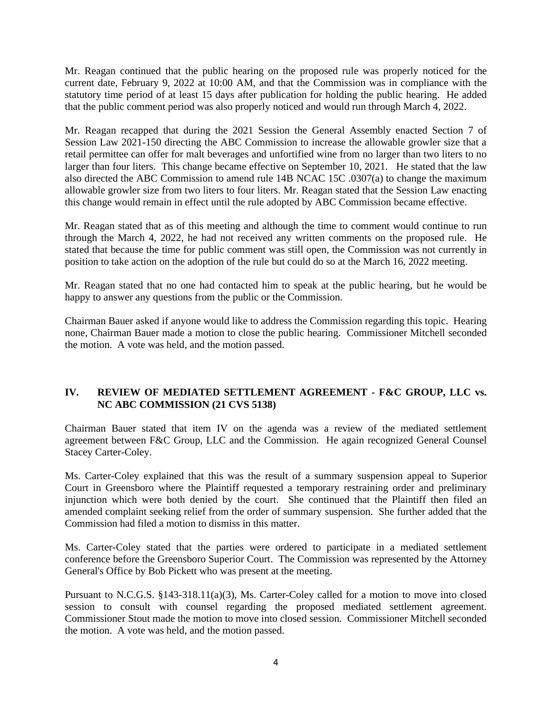Mr. Reagan continued that the public hearing on the proposed rule was properly noticed for the current date, February 9, 2022 at 10:00 AM, and that the Commission was in compliance with the statutory time period of at least 15 days after publication for holding the public hearing. He added that the public comment period was also properly noticed and would run through March 4, 2022.

Mr. Reagan recapped that during the 2021 Session the General Assembly enacted Section 7 of Session Law 2021-150 directing the ABC Commission to increase the allowable growler size that a retail permittee can offer for malt beverages and unfortified wine from no larger than two liters to no larger than four liters. This change became effective on September 10, 2021. He stated that the law also directed the ABC Commission to amend rule 14B NCAC 15C .0307(a) to change the maximum allowable growler size from two liters to four liters. Mr. Reagan stated that the Session Law enacting this change would remain in effect until the rule adopted by ABC Commission became effective.

Mr. Reagan stated that as of this meeting and although the time to comment would continue to run through the March 4, 2022, he had not received any written comments on the proposed rule. He stated that because the time for public comment was still open, the Commission was not currently in position to take action on the adoption of the rule but could do so at the March 16, 2022 meeting.

Mr. Reagan stated that no one had contacted him to speak at the public hearing, but he would be happy to answer any questions from the public or the Commission.

Chairman Bauer asked if anyone would like to address the Commission regarding this topic. Hearing none, Chairman Bauer made a motion to close the public hearing. Commissioner Mitchell seconded the motion. A vote was held, and the motion passed.

# **IV. REVIEW OF MEDIATED SETTLEMENT AGREEMENT - F&C GROUP, LLC vs. NC ABC COMMISSION (21 CVS 5138)**

Chairman Bauer stated that item IV on the agenda was a review of the mediated settlement agreement between F&C Group, LLC and the Commission. He again recognized General Counsel Stacey Carter-Coley.

Ms. Carter-Coley explained that this was the result of a summary suspension appeal to Superior Court in Greensboro where the Plaintiff requested a temporary restraining order and preliminary injunction which were both denied by the court. She continued that the Plaintiff then filed an amended complaint seeking relief from the order of summary suspension. She further added that the Commission had filed a motion to dismiss in this matter.

Ms. Carter-Coley stated that the parties were ordered to participate in a mediated settlement conference before the Greensboro Superior Court. The Commission was represented by the Attorney General's Office by Bob Pickett who was present at the meeting.

Pursuant to N.C.G.S. §143-318.11(a)(3), Ms. Carter-Coley called for a motion to move into closed session to consult with counsel regarding the proposed mediated settlement agreement. Commissioner Stout made the motion to move into closed session. Commissioner Mitchell seconded the motion. A vote was held, and the motion passed.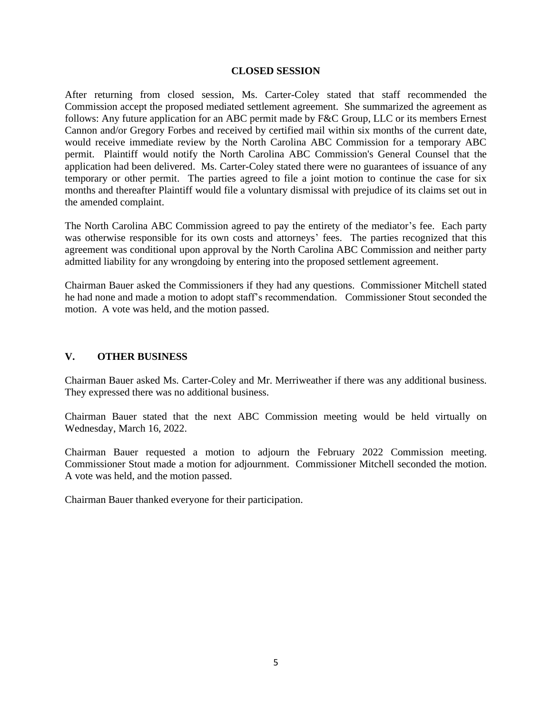#### **CLOSED SESSION**

After returning from closed session, Ms. Carter-Coley stated that staff recommended the Commission accept the proposed mediated settlement agreement. She summarized the agreement as follows: Any future application for an ABC permit made by F&C Group, LLC or its members Ernest Cannon and/or Gregory Forbes and received by certified mail within six months of the current date, would receive immediate review by the North Carolina ABC Commission for a temporary ABC permit. Plaintiff would notify the North Carolina ABC Commission's General Counsel that the application had been delivered. Ms. Carter-Coley stated there were no guarantees of issuance of any temporary or other permit. The parties agreed to file a joint motion to continue the case for six months and thereafter Plaintiff would file a voluntary dismissal with prejudice of its claims set out in the amended complaint.

The North Carolina ABC Commission agreed to pay the entirety of the mediator's fee. Each party was otherwise responsible for its own costs and attorneys' fees. The parties recognized that this agreement was conditional upon approval by the North Carolina ABC Commission and neither party admitted liability for any wrongdoing by entering into the proposed settlement agreement.

Chairman Bauer asked the Commissioners if they had any questions. Commissioner Mitchell stated he had none and made a motion to adopt staff's recommendation. Commissioner Stout seconded the motion. A vote was held, and the motion passed.

#### **V. OTHER BUSINESS**

Chairman Bauer asked Ms. Carter-Coley and Mr. Merriweather if there was any additional business. They expressed there was no additional business.

Chairman Bauer stated that the next ABC Commission meeting would be held virtually on Wednesday, March 16, 2022.

Chairman Bauer requested a motion to adjourn the February 2022 Commission meeting. Commissioner Stout made a motion for adjournment. Commissioner Mitchell seconded the motion. A vote was held, and the motion passed.

Chairman Bauer thanked everyone for their participation.